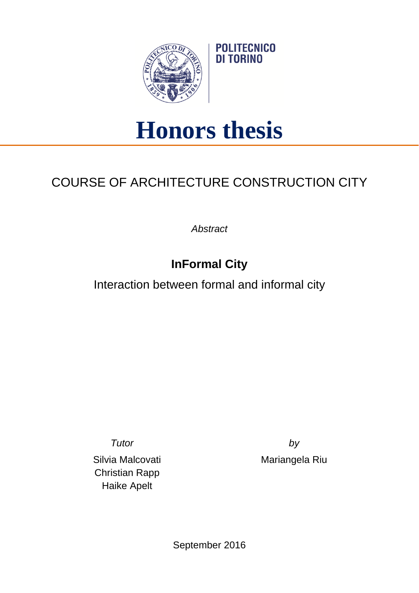

## **Honors thesis**

**POLITECNICO** DI TORINO

## COURSE OF ARCHITECTURE CONSTRUCTION CITY

*Abstract*

## **InFormal City**

Interaction between formal and informal city

Silvia Malcovati Christian Rapp Haike Apelt

*Tutor by* Mariangela Riu

September 2016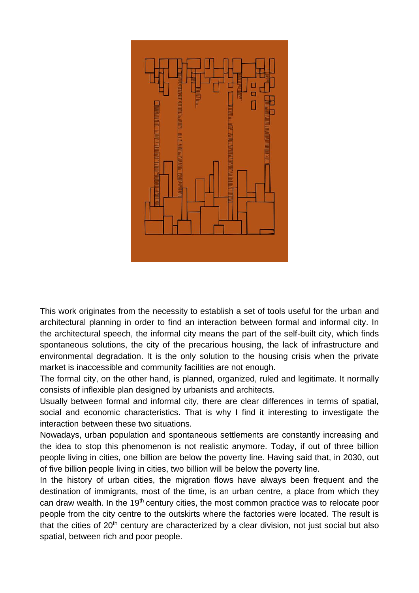

This work originates from the necessity to establish a set of tools useful for the urban and architectural planning in order to find an interaction between formal and informal city. In the architectural speech, the informal city means the part of the self-built city, which finds spontaneous solutions, the city of the precarious housing, the lack of infrastructure and environmental degradation. It is the only solution to the housing crisis when the private market is inaccessible and community facilities are not enough.

The formal city, on the other hand, is planned, organized, ruled and legitimate. It normally consists of inflexible plan designed by urbanists and architects.

Usually between formal and informal city, there are clear differences in terms of spatial, social and economic characteristics. That is why I find it interesting to investigate the interaction between these two situations.

Nowadays, urban population and spontaneous settlements are constantly increasing and the idea to stop this phenomenon is not realistic anymore. Today, if out of three billion people living in cities, one billion are below the poverty line. Having said that, in 2030, out of five billion people living in cities, two billion will be below the poverty line.

In the history of urban cities, the migration flows have always been frequent and the destination of immigrants, most of the time, is an urban centre, a place from which they can draw wealth. In the 19<sup>th</sup> century cities, the most common practice was to relocate poor people from the city centre to the outskirts where the factories were located. The result is that the cities of  $20<sup>th</sup>$  century are characterized by a clear division, not just social but also spatial, between rich and poor people.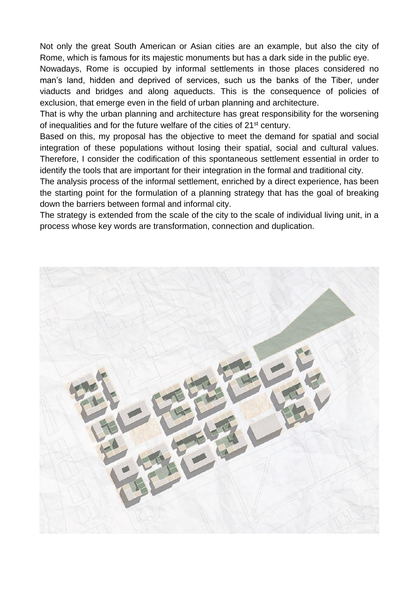Not only the great South American or Asian cities are an example, but also the city of Rome, which is famous for its majestic monuments but has a dark side in the public eye.

Nowadays, Rome is occupied by informal settlements in those places considered no man's land, hidden and deprived of services, such us the banks of the Tiber, under viaducts and bridges and along aqueducts. This is the consequence of policies of exclusion, that emerge even in the field of urban planning and architecture.

That is why the urban planning and architecture has great responsibility for the worsening of inequalities and for the future welfare of the cities of 21st century.

Based on this, my proposal has the objective to meet the demand for spatial and social integration of these populations without losing their spatial, social and cultural values. Therefore, I consider the codification of this spontaneous settlement essential in order to identify the tools that are important for their integration in the formal and traditional city.

The analysis process of the informal settlement, enriched by a direct experience, has been the starting point for the formulation of a planning strategy that has the goal of breaking down the barriers between formal and informal city.

The strategy is extended from the scale of the city to the scale of individual living unit, in a process whose key words are transformation, connection and duplication.

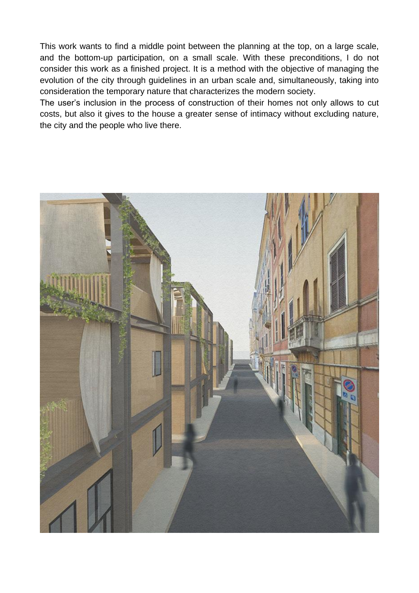This work wants to find a middle point between the planning at the top, on a large scale, and the bottom-up participation, on a small scale. With these preconditions, I do not consider this work as a finished project. It is a method with the objective of managing the evolution of the city through guidelines in an urban scale and, simultaneously, taking into consideration the temporary nature that characterizes the modern society.

The user's inclusion in the process of construction of their homes not only allows to cut costs, but also it gives to the house a greater sense of intimacy without excluding nature, the city and the people who live there.